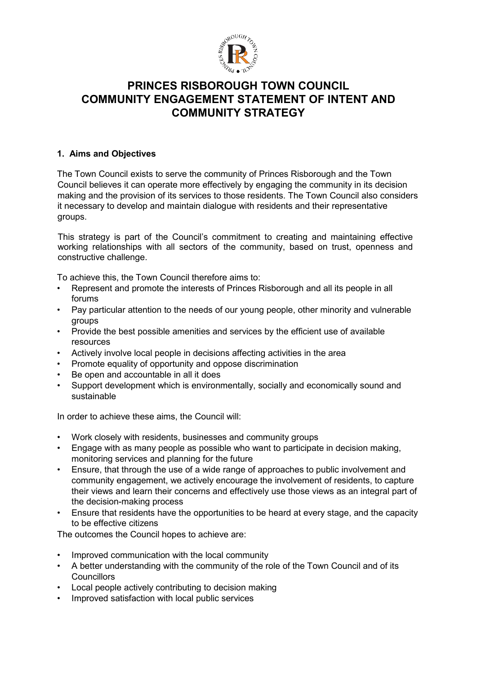

# **PRINCES RISBOROUGH TOWN COUNCIL COMMUNITY ENGAGEMENT STATEMENT OF INTENT AND COMMUNITY STRATEGY**

### **1. Aims and Objectives**

The Town Council exists to serve the community of Princes Risborough and the Town Council believes it can operate more effectively by engaging the community in its decision making and the provision of its services to those residents. The Town Council also considers it necessary to develop and maintain dialogue with residents and their representative groups.

This strategy is part of the Council's commitment to creating and maintaining effective working relationships with all sectors of the community, based on trust, openness and constructive challenge.

To achieve this, the Town Council therefore aims to:

- Represent and promote the interests of Princes Risborough and all its people in all forums
- Pay particular attention to the needs of our young people, other minority and vulnerable groups
- Provide the best possible amenities and services by the efficient use of available resources
- Actively involve local people in decisions affecting activities in the area
- Promote equality of opportunity and oppose discrimination
- Be open and accountable in all it does
- Support development which is environmentally, socially and economically sound and sustainable

In order to achieve these aims, the Council will:

- Work closely with residents, businesses and community groups
- Engage with as many people as possible who want to participate in decision making, monitoring services and planning for the future
- Ensure, that through the use of a wide range of approaches to public involvement and community engagement, we actively encourage the involvement of residents, to capture their views and learn their concerns and effectively use those views as an integral part of the decision-making process
- Ensure that residents have the opportunities to be heard at every stage, and the capacity to be effective citizens

The outcomes the Council hopes to achieve are:

- Improved communication with the local community
- A better understanding with the community of the role of the Town Council and of its **Councillors**
- Local people actively contributing to decision making
- Improved satisfaction with local public services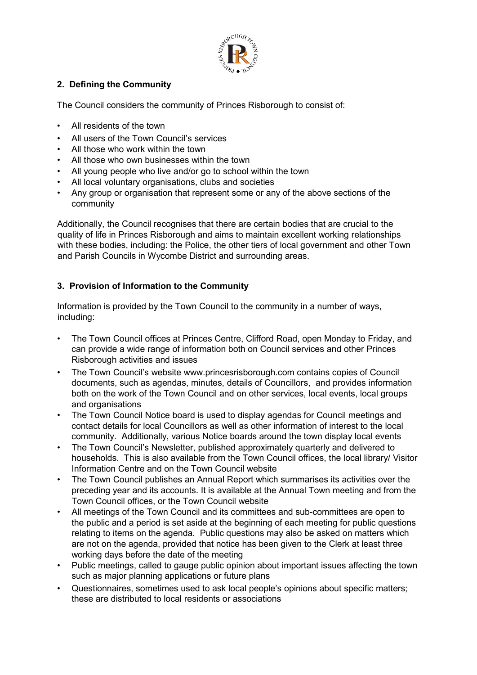

# **2. Defining the Community**

The Council considers the community of Princes Risborough to consist of:

- All residents of the town
- All users of the Town Council's services
- All those who work within the town
- All those who own businesses within the town
- All young people who live and/or go to school within the town
- All local voluntary organisations, clubs and societies
- Any group or organisation that represent some or any of the above sections of the community

Additionally, the Council recognises that there are certain bodies that are crucial to the quality of life in Princes Risborough and aims to maintain excellent working relationships with these bodies, including: the Police, the other tiers of local government and other Town and Parish Councils in Wycombe District and surrounding areas.

### **3. Provision of Information to the Community**

Information is provided by the Town Council to the community in a number of ways, including:

- The Town Council offices at Princes Centre, Clifford Road, open Monday to Friday, and can provide a wide range of information both on Council services and other Princes Risborough activities and issues
- The Town Council's website www.princesrisborough.com contains copies of Council documents, such as agendas, minutes, details of Councillors, and provides information both on the work of the Town Council and on other services, local events, local groups and organisations
- The Town Council Notice board is used to display agendas for Council meetings and contact details for local Councillors as well as other information of interest to the local community. Additionally, various Notice boards around the town display local events
- The Town Council's Newsletter, published approximately quarterly and delivered to households. This is also available from the Town Council offices, the local library/ Visitor Information Centre and on the Town Council website
- The Town Council publishes an Annual Report which summarises its activities over the preceding year and its accounts. It is available at the Annual Town meeting and from the Town Council offices, or the Town Council website
- All meetings of the Town Council and its committees and sub-committees are open to the public and a period is set aside at the beginning of each meeting for public questions relating to items on the agenda. Public questions may also be asked on matters which are not on the agenda, provided that notice has been given to the Clerk at least three working days before the date of the meeting
- Public meetings, called to gauge public opinion about important issues affecting the town such as major planning applications or future plans
- Questionnaires, sometimes used to ask local people's opinions about specific matters; these are distributed to local residents or associations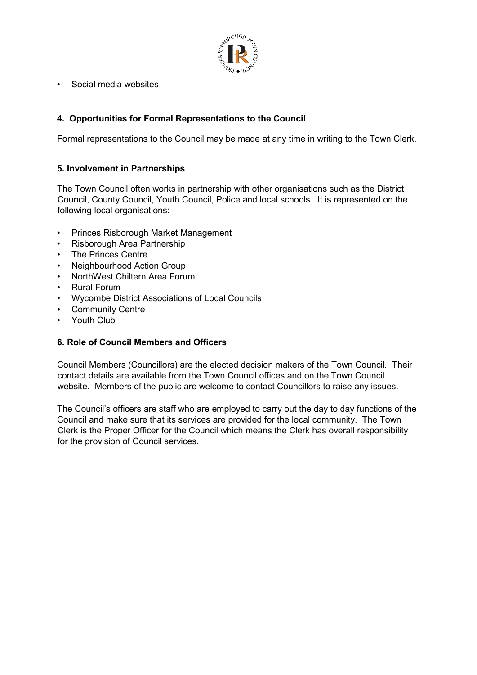

• Social media websites

### **4. Opportunities for Formal Representations to the Council**

Formal representations to the Council may be made at any time in writing to the Town Clerk.

#### **5. Involvement in Partnerships**

The Town Council often works in partnership with other organisations such as the District Council, County Council, Youth Council, Police and local schools. It is represented on the following local organisations:

- Princes Risborough Market Management
- Risborough Area Partnership
- The Princes Centre
- Neighbourhood Action Group
- NorthWest Chiltern Area Forum
- Rural Forum
- Wycombe District Associations of Local Councils
- Community Centre
- Youth Club

#### **6. Role of Council Members and Officers**

Council Members (Councillors) are the elected decision makers of the Town Council. Their contact details are available from the Town Council offices and on the Town Council website. Members of the public are welcome to contact Councillors to raise any issues.

The Council's officers are staff who are employed to carry out the day to day functions of the Council and make sure that its services are provided for the local community. The Town Clerk is the Proper Officer for the Council which means the Clerk has overall responsibility for the provision of Council services.